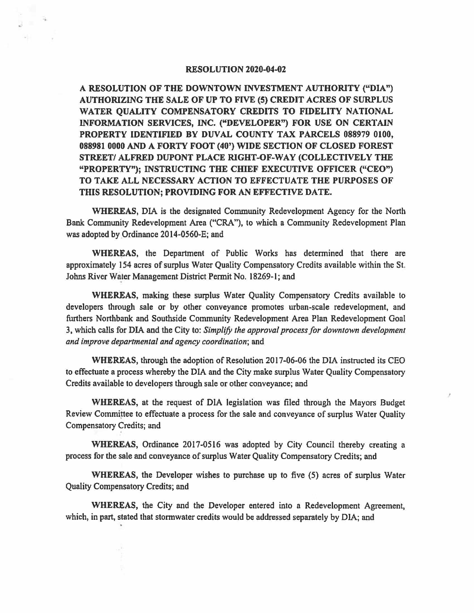## RESOLUTION 2020-04-02

A RESOLUTION OF THE DOWNTOWN INVESTMENT AUTHORITY ("DIA") AUTHORIZING THE SALE OF UP TO FIVE (5) CREDIT ACRES OF SURPLUS WATER QUALITY COMPENSATORY CREDITS TO FIDELITY NATIONAL INFORMATION SERVICES, INC. ("DEVELOPER") FOR USE ON CERTAIN **PROPERTY** IDENTIFIED BY DUVAL COUNTY TAX PARCELS 088979 0100, 088981 0000 AND A FORTY FOOT (40') WIDE SECTION OF CLOSED FOREST **STREET/ ALFRED DUPONT PLACE RIGHT-OF-WAY (COLLECTIVELY THE "PROPERTY"); INSTRUCTING THE CHIEF EXECUTIVE OFFICER ("CEO") TO TAKE ALL NECESSARY ACTION TO EFFECTUATE THE PURPOSES OF THIS RESOLUTION; PROVIDING FOR AN EFFECTIVE DATE.** 

**WHEREAS,** DIA is the designated Community Redevelopment Agency for the North Bank Community Redevelopment Area ("CRA"), to which a Community Redevelopment Plan was adopted by Ordinance 2014-0560-E; and

**WHEREAS,** the Department of Public Works has determined that there are approximately 154 acres of surplus Water Quality Compensatory Credits available within the St. Johns River Water Management District Permit No. 18269-1; and

**WHEREAS,** making these surplus Water Quality Compensatory Credits available to developers through sale or by other conveyance promotes urban-scale redevelopment, and furthers Northbank and Southside Community Redevelopment Area Plan Redevelopment Goal 3, which calls for DIA and the City to: *Simplify the approval process for downtown development and improve departmental and agency coordination;* and

**WHEREAS,** through the adoption of Resolution 2017-06-06 the DIA instructed its CEO to effectuate a process whereby the DIA and the City make surplus Water Quality Compensatory Credits available to developers through sale or other conveyance; and

**WHEREAS,** at the request of DIA legislation was filed through the Mayors Budget Review Committee to effectuate a process for the sale and conveyance of surplus Water Quality Compensatory Credits; and

**WHEREAS,** Ordinance 2017-0516 was adopted by City Council thereby creating a process for the sale and conveyance of surplus Water Quality Compensatory Credits; and

**WHEREAS,** the Developer wishes to purchase up to five (5) acres of surplus Water Quality Compensatory Credits; and

**WHEREAS,** the City and the Developer entered into a Redevelopment Agreement, which, in part, stated that stormwater credits would be addressed separately by DIA; and